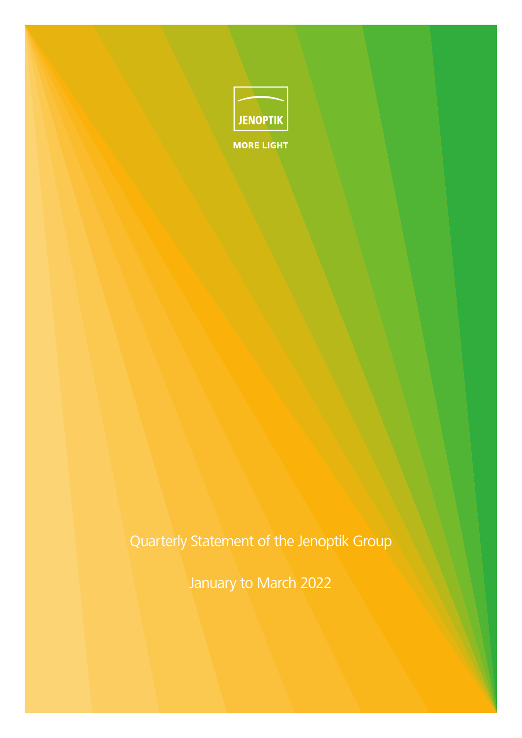

Quarterly Statement of the Jenoptik Group

January to March 2022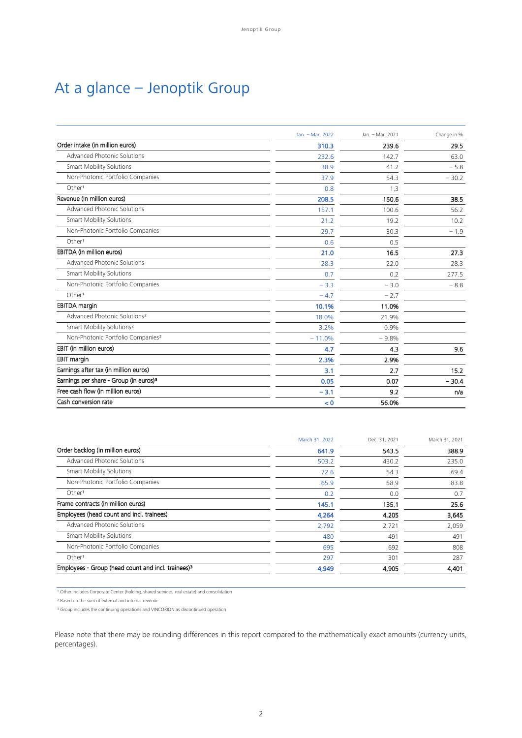# At a glance – Jenoptik Group

|                                                    | Jan. - Mar. 2022 | Jan. - Mar. 2021 | Change in % |
|----------------------------------------------------|------------------|------------------|-------------|
| Order intake (in million euros)                    | 310.3            | 239.6            | 29.5        |
| Advanced Photonic Solutions                        | 232.6            | 142.7            | 63.0        |
| <b>Smart Mobility Solutions</b>                    | 38.9             | 41.2             | $-5.8$      |
| Non-Photonic Portfolio Companies                   | 37.9             | 54.3             | $-30.2$     |
| Other <sup>1</sup>                                 | 0.8              | 1.3              |             |
| Revenue (in million euros)                         | 208.5            | 150.6            | 38.5        |
| Advanced Photonic Solutions                        | 157.1            | 100.6            | 56.2        |
| <b>Smart Mobility Solutions</b>                    | 21.2             | 19.2             | 10.2        |
| Non-Photonic Portfolio Companies                   | 29.7             | 30.3             | $-1.9$      |
| Other <sup>1</sup>                                 | 0.6              | 0.5              |             |
| EBITDA (in million euros)                          | 21.0             | 16.5             | 27.3        |
| Advanced Photonic Solutions                        | 28.3             | 22.0             | 28.3        |
| <b>Smart Mobility Solutions</b>                    | 0.7              | 0.2              | 277.5       |
| Non-Photonic Portfolio Companies                   | $-3.3$           | $-3.0$           | $-8.8$      |
| Other <sup>1</sup>                                 | $-4.7$           | $-2.7$           |             |
| <b>EBITDA</b> margin                               | 10.1%            | 11.0%            |             |
| Advanced Photonic Solutions <sup>2</sup>           | 18.0%            | 21.9%            |             |
| Smart Mobility Solutions <sup>2</sup>              | 3.2%             | 0.9%             |             |
| Non-Photonic Portfolio Companies <sup>2</sup>      | $-11.0%$         | $-9.8%$          |             |
| EBIT (in million euros)                            | 4.7              | 4.3              | 9.6         |
| EBIT margin                                        | 2.3%             | 2.9%             |             |
| Earnings after tax (in million euros)              | 3.1              | 2.7              | 15.2        |
| Earnings per share - Group (in euros) <sup>3</sup> | 0.05             | 0.07             | $-30.4$     |
| Free cash flow (in million euros)                  | $-3.1$           | 9.2              | n/a         |
| Cash conversion rate                               | < 0              | 56.0%            |             |

| March 31, 2022 | Dec. 31, 2021 | March 31, 2021 |
|----------------|---------------|----------------|
| 641.9          | 543.5         | 388.9          |
| 503.2          | 430.2         | 235.0          |
| 72.6           | 54.3          | 69.4           |
| 65.9           | 58.9          | 83.8           |
| 0.2            | 0.0           | 0.7            |
| 145.1          | 135.1         | 25.6           |
| 4,264          | 4,205         | 3,645          |
| 2,792          | 2,721         | 2,059          |
| 480            | 491           | 491            |
| 695            | 692           | 808            |
| 297            | 301           | 287            |
| 4,949          | 4,905         | 4,401          |
|                |               |                |

<sup>1</sup> Other includes Corporate Center (holding, shared services, real estate) and consolidation

² Based on the sum of external and internal revenue

<sup>3</sup> Group includes the continuing operations and VINCORION as discontinued operation

Please note that there may be rounding differences in this report compared to the mathematically exact amounts (currency units, percentages).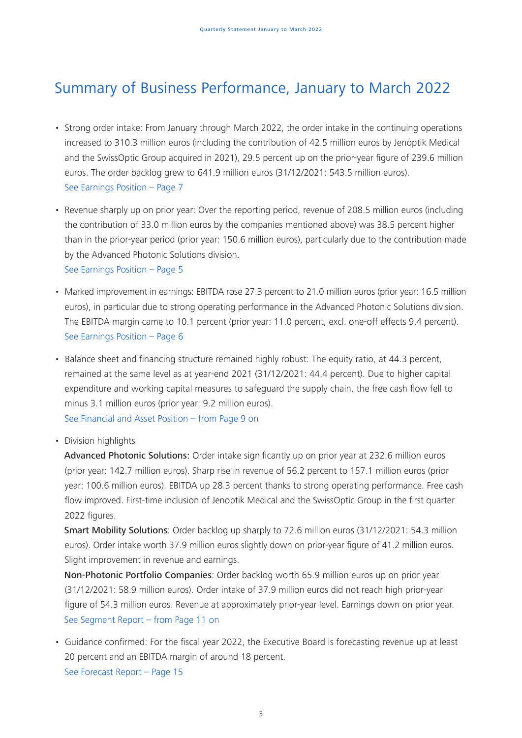# Summary of Business Performance, January to March 2022

- Strong order intake: From January through March 2022, the order intake in the continuing operations increased to 310.3 million euros (including the contribution of 42.5 million euros by Jenoptik Medical and the SwissOptic Group acquired in 2021), 29.5 percent up on the prior-year figure of 239.6 million euros. The order backlog grew to 641.9 million euros (31/12/2021: 543.5 million euros). See Earnings Position – Page 7
- Revenue sharply up on prior year: Over the reporting period, revenue of 208.5 million euros (including the contribution of 33.0 million euros by the companies mentioned above) was 38.5 percent higher than in the prior-year period (prior year: 150.6 million euros), particularly due to the contribution made by the Advanced Photonic Solutions division.

See Earnings Position – Page 5

- Marked improvement in earnings: EBITDA rose 27.3 percent to 21.0 million euros (prior year: 16.5 million euros), in particular due to strong operating performance in the Advanced Photonic Solutions division. The EBITDA margin came to 10.1 percent (prior year: 11.0 percent, excl. one-off effects 9.4 percent). See Earnings Position – Page 6
- Balance sheet and financing structure remained highly robust: The equity ratio, at 44.3 percent, remained at the same level as at year-end 2021 (31/12/2021: 44.4 percent). Due to higher capital expenditure and working capital measures to safeguard the supply chain, the free cash flow fell to minus 3.1 million euros (prior year: 9.2 million euros). See Financial and Asset Position – from Page 9 on

• Division highlights

Advanced Photonic Solutions: Order intake significantly up on prior year at 232.6 million euros (prior year: 142.7 million euros). Sharp rise in revenue of 56.2 percent to 157.1 million euros (prior year: 100.6 million euros). EBITDA up 28.3 percent thanks to strong operating performance. Free cash flow improved. First-time inclusion of Jenoptik Medical and the SwissOptic Group in the first quarter 2022 figures.

Smart Mobility Solutions: Order backlog up sharply to 72.6 million euros (31/12/2021: 54.3 million euros). Order intake worth 37.9 million euros slightly down on prior-year figure of 41.2 million euros. Slight improvement in revenue and earnings.

Non-Photonic Portfolio Companies: Order backlog worth 65.9 million euros up on prior year (31/12/2021: 58.9 million euros). Order intake of 37.9 million euros did not reach high prior-year figure of 54.3 million euros. Revenue at approximately prior-year level. Earnings down on prior year. See Segment Report – from Page 11 on

• Guidance confirmed: For the fiscal year 2022, the Executive Board is forecasting revenue up at least 20 percent and an EBITDA margin of around 18 percent. See Forecast Report – Page 15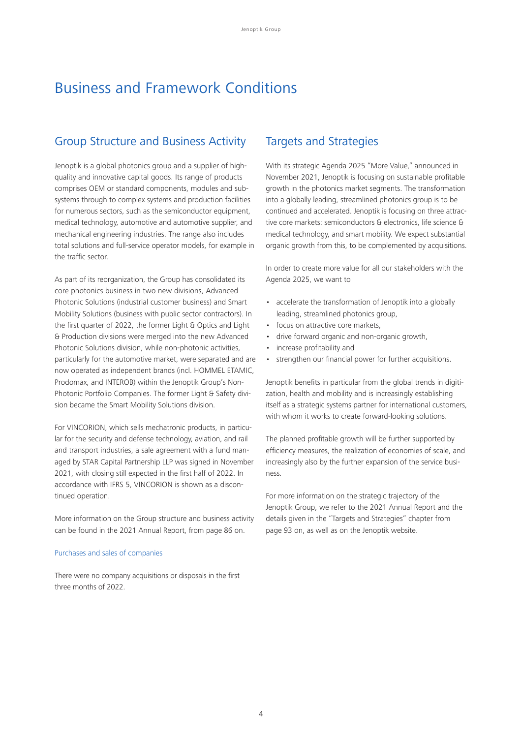# Business and Framework Conditions

## Group Structure and Business Activity

Jenoptik is a global photonics group and a supplier of highquality and innovative capital goods. Its range of products comprises OEM or standard components, modules and subsystems through to complex systems and production facilities for numerous sectors, such as the semiconductor equipment, medical technology, automotive and automotive supplier, and mechanical engineering industries. The range also includes total solutions and full-service operator models, for example in the traffic sector.

As part of its reorganization, the Group has consolidated its core photonics business in two new divisions, Advanced Photonic Solutions (industrial customer business) and Smart Mobility Solutions (business with public sector contractors). In the first quarter of 2022, the former Light & Optics and Light & Production divisions were merged into the new Advanced Photonic Solutions division, while non-photonic activities, particularly for the automotive market, were separated and are now operated as independent brands (incl. HOMMEL ETAMIC, Prodomax, and INTEROB) within the Jenoptik Group's Non-Photonic Portfolio Companies. The former Light & Safety division became the Smart Mobility Solutions division.

For VINCORION, which sells mechatronic products, in particular for the security and defense technology, aviation, and rail and transport industries, a sale agreement with a fund managed by STAR Capital Partnership LLP was signed in November 2021, with closing still expected in the first half of 2022. In accordance with IFRS 5, VINCORION is shown as a discontinued operation.

More information on the Group structure and business activity can be found in the 2021 Annual Report, from page 86 on.

### Purchases and sales of companies

There were no company acquisitions or disposals in the first three months of 2022.

## Targets and Strategies

With its strategic Agenda 2025 "More Value," announced in November 2021, Jenoptik is focusing on sustainable profitable growth in the photonics market segments. The transformation into a globally leading, streamlined photonics group is to be continued and accelerated. Jenoptik is focusing on three attractive core markets: semiconductors & electronics, life science & medical technology, and smart mobility. We expect substantial organic growth from this, to be complemented by acquisitions.

In order to create more value for all our stakeholders with the Agenda 2025, we want to

- accelerate the transformation of Jenoptik into a globally leading, streamlined photonics group,
- focus on attractive core markets,
- drive forward organic and non-organic growth,
- increase profitability and
- strengthen our financial power for further acquisitions.

Jenoptik benefits in particular from the global trends in digitization, health and mobility and is increasingly establishing itself as a strategic systems partner for international customers, with whom it works to create forward-looking solutions.

The planned profitable growth will be further supported by efficiency measures, the realization of economies of scale, and increasingly also by the further expansion of the service business.

For more information on the strategic trajectory of the Jenoptik Group, we refer to the 2021 Annual Report and the details given in the "Targets and Strategies" chapter from page 93 on, as well as on the Jenoptik website.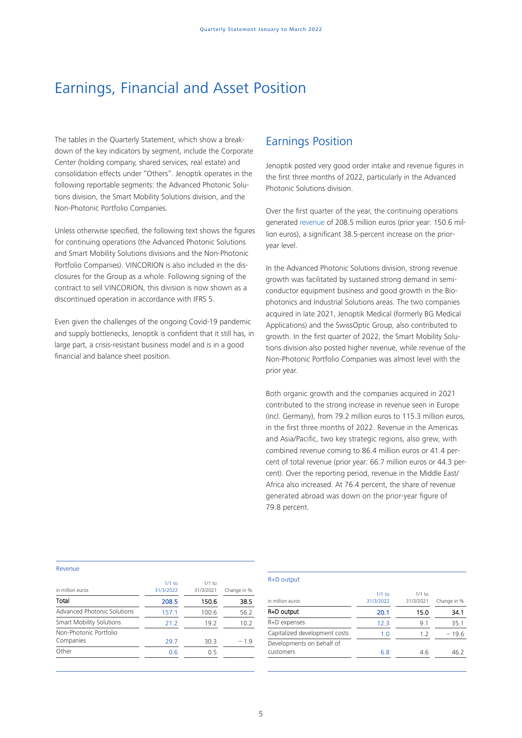## Earnings, Financial and Asset Position

The tables in the Quarterly Statement, which show a breakdown of the key indicators by segment, include the Corporate Center (holding company, shared services, real estate) and consolidation effects under "Others". Jenoptik operates in the following reportable segments: the Advanced Photonic Solutions division, the Smart Mobility Solutions division, and the Non-Photonic Portfolio Companies.

Unless otherwise specified, the following text shows the figures for continuing operations (the Advanced Photonic Solutions and Smart Mobility Solutions divisions and the Non-Photonic Portfolio Companies). VINCORION is also included in the disclosures for the Group as a whole. Following signing of the contract to sell VINCORION, this division is now shown as a discontinued operation in accordance with IFRS 5.

Even given the challenges of the ongoing Covid-19 pandemic and supply bottlenecks, Jenoptik is confident that it still has, in large part, a crisis-resistant business model and is in a good financial and balance sheet position.

## Earnings Position

Jenoptik posted very good order intake and revenue figures in the first three months of 2022, particularly in the Advanced Photonic Solutions division.

Over the first quarter of the year, the continuing operations generated revenue of 208.5 million euros (prior year: 150.6 million euros), a significant 38.5-percent increase on the prioryear level.

In the Advanced Photonic Solutions division, strong revenue growth was facilitated by sustained strong demand in semiconductor equipment business and good growth in the Biophotonics and Industrial Solutions areas. The two companies acquired in late 2021, Jenoptik Medical (formerly BG Medical Applications) and the SwissOptic Group, also contributed to growth. In the first quarter of 2022, the Smart Mobility Solutions division also posted higher revenue, while revenue of the Non-Photonic Portfolio Companies was almost level with the prior year.

Both organic growth and the companies acquired in 2021 contributed to the strong increase in revenue seen in Europe (incl. Germany), from 79.2 million euros to 115.3 million euros, in the first three months of 2022. Revenue in the Americas and Asia/Pacific, two key strategic regions, also grew, with combined revenue coming to 86.4 million euros or 41.4 percent of total revenue (prior year: 66.7 million euros or 44.3 percent). Over the reporting period, revenue in the Middle East/ Africa also increased. At 76.4 percent, the share of revenue generated abroad was down on the prior-year figure of 79.8 percent.

#### Revenue

| in million euros                    | $1/1$ to<br>31/3/2022 | $1/1$ to<br>31/3/2021 | Change in % |
|-------------------------------------|-----------------------|-----------------------|-------------|
| Total                               | 208.5                 | 150.6                 | 38.5        |
| Advanced Photonic Solutions         | 157.1                 | 100.6                 | 56.2        |
| <b>Smart Mobility Solutions</b>     | 21.2                  | 19.2                  | 10.2        |
| Non-Photonic Portfolio<br>Companies | 29.7                  | 30.3                  | $-1.9$      |
| Other                               | 0.6                   | 0.5                   |             |

#### R+D output

| in million euros                       | $1/1$ to<br>31/3/2022 | $1/1$ to<br>31/3/2021 | Change in % |
|----------------------------------------|-----------------------|-----------------------|-------------|
| R+D output                             | 20.1                  | 15.0                  | 34.1        |
| R+D expenses                           | 12.3                  | 9.1                   | 35.1        |
| Capitalized development costs          | 1.0                   | 1.2                   | $-19.6$     |
| Developments on behalf of<br>customers | 6.8                   | 4.6                   | 46.2        |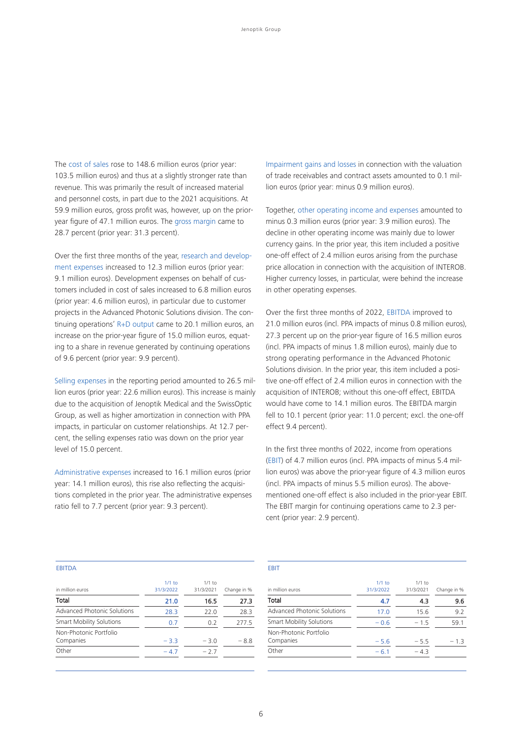The cost of sales rose to 148.6 million euros (prior year: 103.5 million euros) and thus at a slightly stronger rate than revenue. This was primarily the result of increased material and personnel costs, in part due to the 2021 acquisitions. At 59.9 million euros, gross profit was, however, up on the prioryear figure of 47.1 million euros. The gross margin came to 28.7 percent (prior year: 31.3 percent).

Over the first three months of the year, research and development expenses increased to 12.3 million euros (prior year: 9.1 million euros). Development expenses on behalf of customers included in cost of sales increased to 6.8 million euros (prior year: 4.6 million euros), in particular due to customer projects in the Advanced Photonic Solutions division. The continuing operations' R+D output came to 20.1 million euros, an increase on the prior-year figure of 15.0 million euros, equating to a share in revenue generated by continuing operations of 9.6 percent (prior year: 9.9 percent).

Selling expenses in the reporting period amounted to 26.5 million euros (prior year: 22.6 million euros). This increase is mainly due to the acquisition of Jenoptik Medical and the SwissOptic Group, as well as higher amortization in connection with PPA impacts, in particular on customer relationships. At 12.7 percent, the selling expenses ratio was down on the prior year level of 15.0 percent.

Administrative expenses increased to 16.1 million euros (prior year: 14.1 million euros), this rise also reflecting the acquisitions completed in the prior year. The administrative expenses ratio fell to 7.7 percent (prior year: 9.3 percent).

Impairment gains and losses in connection with the valuation of trade receivables and contract assets amounted to 0.1 million euros (prior year: minus 0.9 million euros).

Together, other operating income and expenses amounted to minus 0.3 million euros (prior year: 3.9 million euros). The decline in other operating income was mainly due to lower currency gains. In the prior year, this item included a positive one-off effect of 2.4 million euros arising from the purchase price allocation in connection with the acquisition of INTEROB. Higher currency losses, in particular, were behind the increase in other operating expenses.

Over the first three months of 2022, EBITDA improved to 21.0 million euros (incl. PPA impacts of minus 0.8 million euros), 27.3 percent up on the prior-year figure of 16.5 million euros (incl. PPA impacts of minus 1.8 million euros), mainly due to strong operating performance in the Advanced Photonic Solutions division. In the prior year, this item included a positive one-off effect of 2.4 million euros in connection with the acquisition of INTEROB; without this one-off effect, EBITDA would have come to 14.1 million euros. The EBITDA margin fell to 10.1 percent (prior year: 11.0 percent; excl. the one-off effect 9.4 percent).

In the first three months of 2022, income from operations (EBIT) of 4.7 million euros (incl. PPA impacts of minus 5.4 million euros) was above the prior-year figure of 4.3 million euros (incl. PPA impacts of minus 5.5 million euros). The abovementioned one-off effect is also included in the prior-year EBIT. The EBIT margin for continuing operations came to 2.3 percent (prior year: 2.9 percent).

#### **ERITDA**

| in million euros                    | $1/1$ to<br>31/3/2022 | $1/1$ to<br>31/3/2021 | Change in % |
|-------------------------------------|-----------------------|-----------------------|-------------|
| Total                               | 21.0                  | 16.5                  | 27.3        |
| Advanced Photonic Solutions         | 28.3                  | 22.0                  | 28.3        |
| <b>Smart Mobility Solutions</b>     | 0.7                   | 0.2                   | 277.5       |
| Non-Photonic Portfolio<br>Companies | $-3.3$                | $-3.0$                | $-8.8$      |
| Other                               | $-4.7$                | $-2.7$                |             |

#### EBIT

| in million euros                    | $1/1$ to<br>31/3/2022 | $1/1$ to<br>31/3/2021 | Change in % |
|-------------------------------------|-----------------------|-----------------------|-------------|
| Total                               | 4.7                   | 4.3                   | 9.6         |
| Advanced Photonic Solutions         | 17.0                  | 15.6                  | 9.2         |
| <b>Smart Mobility Solutions</b>     | $-0.6$                | $-1.5$                | 59.1        |
| Non-Photonic Portfolio<br>Companies | $-5.6$                | $-5.5$                | $-1.3$      |
| Other                               | $-6.1$                | $-4.3$                |             |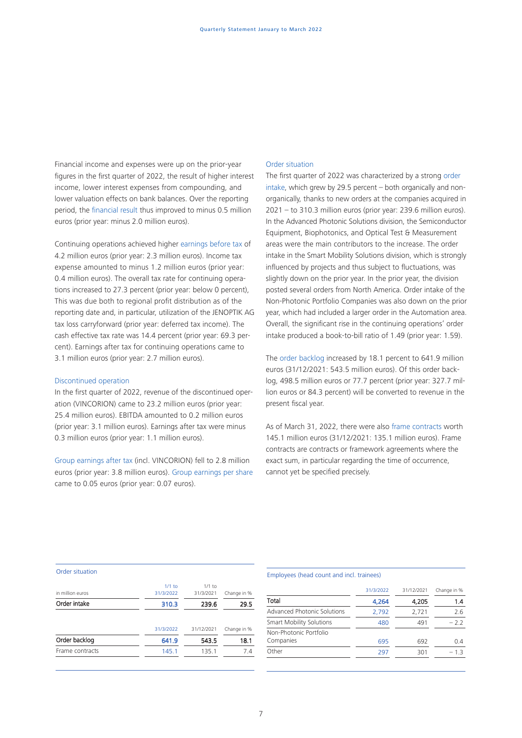Financial income and expenses were up on the prior-year figures in the first quarter of 2022, the result of higher interest income, lower interest expenses from compounding, and lower valuation effects on bank balances. Over the reporting period, the financial result thus improved to minus 0.5 million euros (prior year: minus 2.0 million euros).

Continuing operations achieved higher earnings before tax of 4.2 million euros (prior year: 2.3 million euros). Income tax expense amounted to minus 1.2 million euros (prior year: 0.4 million euros). The overall tax rate for continuing operations increased to 27.3 percent (prior year: below 0 percent), This was due both to regional profit distribution as of the reporting date and, in particular, utilization of the JENOPTIK AG tax loss carryforward (prior year: deferred tax income). The cash effective tax rate was 14.4 percent (prior year: 69.3 percent). Earnings after tax for continuing operations came to 3.1 million euros (prior year: 2.7 million euros).

#### Discontinued operation

In the first quarter of 2022, revenue of the discontinued operation (VINCORION) came to 23.2 million euros (prior year: 25.4 million euros). EBITDA amounted to 0.2 million euros (prior year: 3.1 million euros). Earnings after tax were minus 0.3 million euros (prior year: 1.1 million euros).

Group earnings after tax (incl. VINCORION) fell to 2.8 million euros (prior year: 3.8 million euros). Group earnings per share came to 0.05 euros (prior year: 0.07 euros).

#### Order situation

The first quarter of 2022 was characterized by a strong order intake, which grew by 29.5 percent – both organically and nonorganically, thanks to new orders at the companies acquired in 2021 – to 310.3 million euros (prior year: 239.6 million euros). In the Advanced Photonic Solutions division, the Semiconductor Equipment, Biophotonics, and Optical Test & Measurement areas were the main contributors to the increase. The order intake in the Smart Mobility Solutions division, which is strongly influenced by projects and thus subject to fluctuations, was slightly down on the prior year. In the prior year, the division posted several orders from North America. Order intake of the Non-Photonic Portfolio Companies was also down on the prior year, which had included a larger order in the Automation area. Overall, the significant rise in the continuing operations' order intake produced a book-to-bill ratio of 1.49 (prior year: 1.59).

The order backlog increased by 18.1 percent to 641.9 million euros (31/12/2021: 543.5 million euros). Of this order backlog, 498.5 million euros or 77.7 percent (prior year: 327.7 million euros or 84.3 percent) will be converted to revenue in the present fiscal year.

As of March 31, 2022, there were also frame contracts worth 145.1 million euros (31/12/2021: 135.1 million euros). Frame contracts are contracts or framework agreements where the exact sum, in particular regarding the time of occurrence, cannot yet be specified precisely.

#### Order situation

| in million euros | $1/1$ to<br>31/3/2022 | $1/1$ to<br>31/3/2021 | Change in % |
|------------------|-----------------------|-----------------------|-------------|
| Order intake     | 310.3                 | 239.6                 | 29.5        |
|                  |                       |                       |             |
|                  | 31/3/2022             | 31/12/2021            | Change in % |
| Order backlog    | 641.9                 | 543.5                 | 18.1        |
| Frame contracts  | 145.1                 | 135.1                 | 7.4         |
|                  |                       |                       |             |

### Employees (head count and incl. trainees)

|                                 | 31/3/2022 | 31/12/2021 | Change in % |
|---------------------------------|-----------|------------|-------------|
| Total                           | 4,264     | 4,205      | 1.4         |
| Advanced Photonic Solutions     | 2,792     | 2,721      | 2.6         |
| <b>Smart Mobility Solutions</b> | 480       | 491        | $-2.2$      |
| Non-Photonic Portfolio          |           |            |             |
| Companies                       | 695       | 692        | 0.4         |
| Other                           | 297       | 301        | -13         |
|                                 |           |            |             |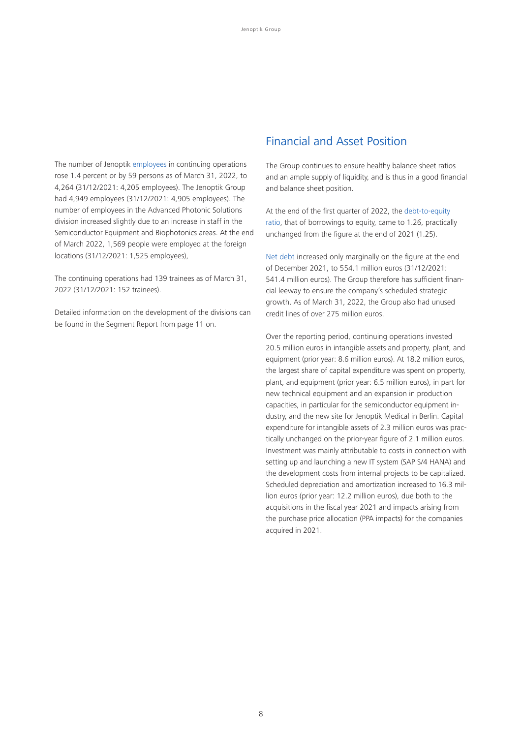The number of Jenoptik employees in continuing operations rose 1.4 percent or by 59 persons as of March 31, 2022, to 4,264 (31/12/2021: 4,205 employees). The Jenoptik Group had 4,949 employees (31/12/2021: 4,905 employees). The number of employees in the Advanced Photonic Solutions division increased slightly due to an increase in staff in the Semiconductor Equipment and Biophotonics areas. At the end of March 2022, 1,569 people were employed at the foreign locations (31/12/2021: 1,525 employees),

The continuing operations had 139 trainees as of March 31, 2022 (31/12/2021: 152 trainees).

Detailed information on the development of the divisions can be found in the Segment Report from page 11 on.

## Financial and Asset Position

The Group continues to ensure healthy balance sheet ratios and an ample supply of liquidity, and is thus in a good financial and balance sheet position.

At the end of the first quarter of 2022, the debt-to-equity ratio, that of borrowings to equity, came to 1.26, practically unchanged from the figure at the end of 2021 (1.25).

Net debt increased only marginally on the figure at the end of December 2021, to 554.1 million euros (31/12/2021: 541.4 million euros). The Group therefore has sufficient financial leeway to ensure the company's scheduled strategic growth. As of March 31, 2022, the Group also had unused credit lines of over 275 million euros.

Over the reporting period, continuing operations invested 20.5 million euros in intangible assets and property, plant, and equipment (prior year: 8.6 million euros). At 18.2 million euros, the largest share of capital expenditure was spent on property, plant, and equipment (prior year: 6.5 million euros), in part for new technical equipment and an expansion in production capacities, in particular for the semiconductor equipment industry, and the new site for Jenoptik Medical in Berlin. Capital expenditure for intangible assets of 2.3 million euros was practically unchanged on the prior-year figure of 2.1 million euros. Investment was mainly attributable to costs in connection with setting up and launching a new IT system (SAP S/4 HANA) and the development costs from internal projects to be capitalized. Scheduled depreciation and amortization increased to 16.3 million euros (prior year: 12.2 million euros), due both to the acquisitions in the fiscal year 2021 and impacts arising from the purchase price allocation (PPA impacts) for the companies acquired in 2021.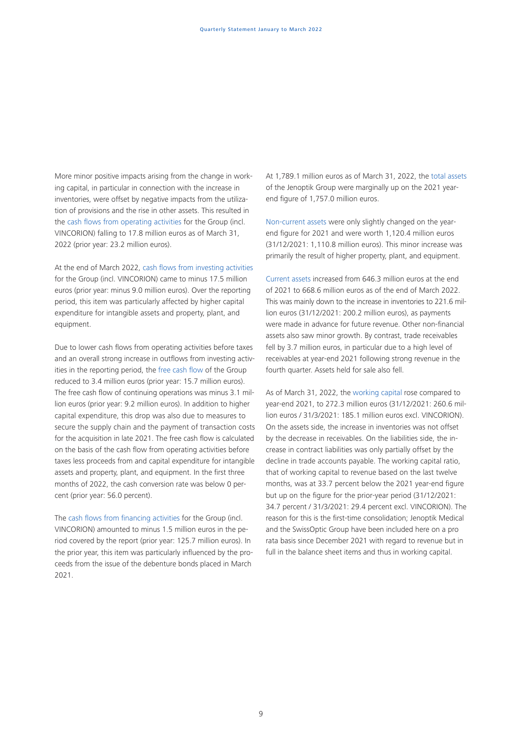More minor positive impacts arising from the change in working capital, in particular in connection with the increase in inventories, were offset by negative impacts from the utilization of provisions and the rise in other assets. This resulted in the cash flows from operating activities for the Group (incl. VINCORION) falling to 17.8 million euros as of March 31, 2022 (prior year: 23.2 million euros).

At the end of March 2022, cash flows from investing activities for the Group (incl. VINCORION) came to minus 17.5 million euros (prior year: minus 9.0 million euros). Over the reporting period, this item was particularly affected by higher capital expenditure for intangible assets and property, plant, and equipment.

Due to lower cash flows from operating activities before taxes and an overall strong increase in outflows from investing activities in the reporting period, the free cash flow of the Group reduced to 3.4 million euros (prior year: 15.7 million euros). The free cash flow of continuing operations was minus 3.1 million euros (prior year: 9.2 million euros). In addition to higher capital expenditure, this drop was also due to measures to secure the supply chain and the payment of transaction costs for the acquisition in late 2021. The free cash flow is calculated on the basis of the cash flow from operating activities before taxes less proceeds from and capital expenditure for intangible assets and property, plant, and equipment. In the first three months of 2022, the cash conversion rate was below 0 percent (prior year: 56.0 percent).

The cash flows from financing activities for the Group (incl. VINCORION) amounted to minus 1.5 million euros in the period covered by the report (prior year: 125.7 million euros). In the prior year, this item was particularly influenced by the proceeds from the issue of the debenture bonds placed in March 2021.

At 1,789.1 million euros as of March 31, 2022, the total assets of the Jenoptik Group were marginally up on the 2021 yearend figure of 1,757.0 million euros.

Non-current assets were only slightly changed on the yearend figure for 2021 and were worth 1,120.4 million euros (31/12/2021: 1,110.8 million euros). This minor increase was primarily the result of higher property, plant, and equipment.

Current assets increased from 646.3 million euros at the end of 2021 to 668.6 million euros as of the end of March 2022. This was mainly down to the increase in inventories to 221.6 million euros (31/12/2021: 200.2 million euros), as payments were made in advance for future revenue. Other non-financial assets also saw minor growth. By contrast, trade receivables fell by 3.7 million euros, in particular due to a high level of receivables at year-end 2021 following strong revenue in the fourth quarter. Assets held for sale also fell.

As of March 31, 2022, the working capital rose compared to year-end 2021, to 272.3 million euros (31/12/2021: 260.6 million euros / 31/3/2021: 185.1 million euros excl. VINCORION). On the assets side, the increase in inventories was not offset by the decrease in receivables. On the liabilities side, the increase in contract liabilities was only partially offset by the decline in trade accounts payable. The working capital ratio, that of working capital to revenue based on the last twelve months, was at 33.7 percent below the 2021 year-end figure but up on the figure for the prior-year period (31/12/2021: 34.7 percent / 31/3/2021: 29.4 percent excl. VINCORION). The reason for this is the first-time consolidation; Jenoptik Medical and the SwissOptic Group have been included here on a pro rata basis since December 2021 with regard to revenue but in full in the balance sheet items and thus in working capital.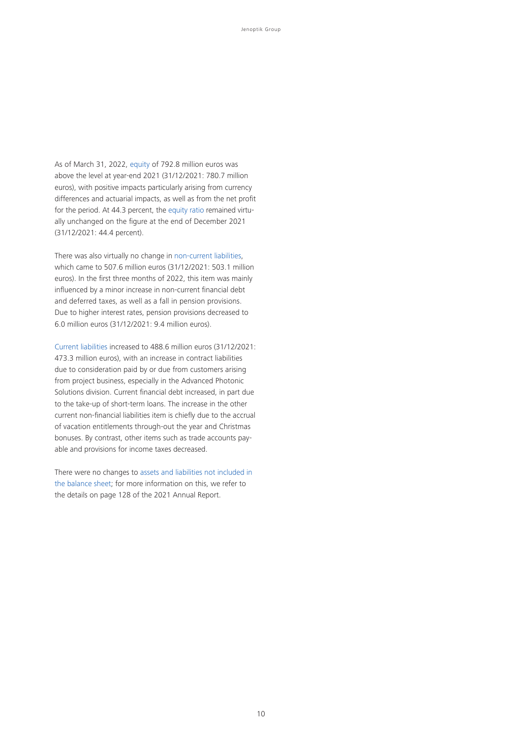As of March 31, 2022, equity of 792.8 million euros was above the level at year-end 2021 (31/12/2021: 780.7 million euros), with positive impacts particularly arising from currency differences and actuarial impacts, as well as from the net profit for the period. At 44.3 percent, the equity ratio remained virtually unchanged on the figure at the end of December 2021 (31/12/2021: 44.4 percent).

There was also virtually no change in non-current liabilities, which came to 507.6 million euros (31/12/2021: 503.1 million euros). In the first three months of 2022, this item was mainly influenced by a minor increase in non-current financial debt and deferred taxes, as well as a fall in pension provisions. Due to higher interest rates, pension provisions decreased to 6.0 million euros (31/12/2021: 9.4 million euros).

Current liabilities increased to 488.6 million euros (31/12/2021: 473.3 million euros), with an increase in contract liabilities due to consideration paid by or due from customers arising from project business, especially in the Advanced Photonic Solutions division. Current financial debt increased, in part due to the take-up of short-term loans. The increase in the other current non-financial liabilities item is chiefly due to the accrual of vacation entitlements through-out the year and Christmas bonuses. By contrast, other items such as trade accounts payable and provisions for income taxes decreased.

There were no changes to assets and liabilities not included in the balance sheet; for more information on this, we refer to the details on page 128 of the 2021 Annual Report.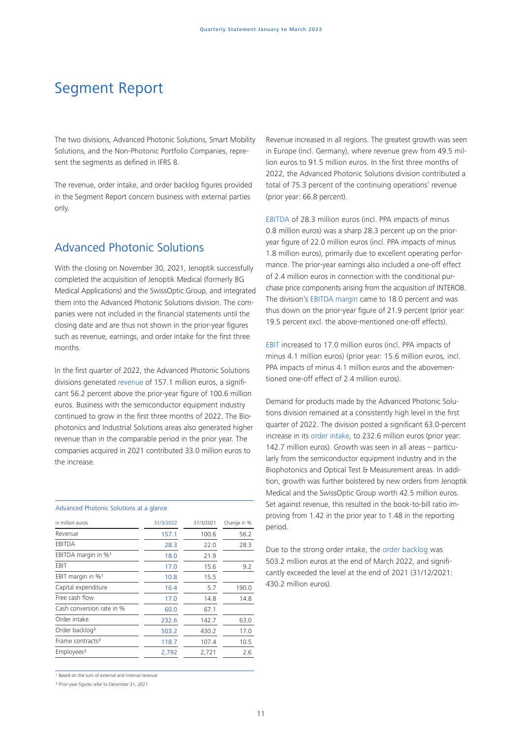# Segment Report

The two divisions, Advanced Photonic Solutions, Smart Mobility Solutions, and the Non-Photonic Portfolio Companies, represent the segments as defined in IFRS 8.

The revenue, order intake, and order backlog figures provided in the Segment Report concern business with external parties only.

## Advanced Photonic Solutions

With the closing on November 30, 2021, Jenoptik successfully completed the acquisition of Jenoptik Medical (formerly BG Medical Applications) and the SwissOptic Group, and integrated them into the Advanced Photonic Solutions division. The companies were not included in the financial statements until the closing date and are thus not shown in the prior-year figures such as revenue, earnings, and order intake for the first three months.

In the first quarter of 2022, the Advanced Photonic Solutions divisions generated revenue of 157.1 million euros, a significant 56.2 percent above the prior-year figure of 100.6 million euros. Business with the semiconductor equipment industry continued to grow in the first three months of 2022. The Biophotonics and Industrial Solutions areas also generated higher revenue than in the comparable period in the prior year. The companies acquired in 2021 contributed 33.0 million euros to the increase.

#### Advanced Photonic Solutions at a glance

| in million euros                | 31/3/2022 | 31/3/2021 | Change in % |
|---------------------------------|-----------|-----------|-------------|
| Revenue                         | 157.1     | 100.6     | 56.2        |
| EBITDA                          | 28.3      | 22.0      | 28.3        |
| EBITDA margin in % <sup>1</sup> | 18.0      | 21.9      |             |
| EBIT                            | 17.0      | 15.6      | 9.2         |
| EBIT margin in % <sup>1</sup>   | 10.8      | 15.5      |             |
| Capital expenditure             | 16.4      | 5.7       | 190.0       |
| Free cash flow                  | 17.0      | 14.8      | 14.8        |
| Cash conversion rate in %       | 60.0      | 67.1      |             |
| Order intake                    | 232.6     | 142.7     | 63.0        |
| Order backlog <sup>2</sup>      | 503.2     | 430.2     | 17.0        |
| Frame contracts <sup>2</sup>    | 118.7     | 107.4     | 10.5        |
| Employees <sup>2</sup>          | 2,792     | 2,721     | 2.6         |
|                                 |           |           |             |

<sup>1</sup> Based on the sum of external and internal revenue

² Prior-year figures refer to December 31, 2021

Revenue increased in all regions. The greatest growth was seen in Europe (incl. Germany), where revenue grew from 49.5 million euros to 91.5 million euros. In the first three months of 2022, the Advanced Photonic Solutions division contributed a total of 75.3 percent of the continuing operations' revenue (prior year: 66.8 percent).

EBITDA of 28.3 million euros (incl. PPA impacts of minus 0.8 million euros) was a sharp 28.3 percent up on the prioryear figure of 22.0 million euros (incl. PPA impacts of minus 1.8 million euros), primarily due to excellent operating performance. The prior-year earnings also included a one-off effect of 2.4 million euros in connection with the conditional purchase price components arising from the acquisition of INTEROB. The division's EBITDA margin came to 18.0 percent and was thus down on the prior-year figure of 21.9 percent (prior year: 19.5 percent excl. the above-mentioned one-off effects).

EBIT increased to 17.0 million euros (incl. PPA impacts of minus 4.1 million euros) (prior year: 15.6 million euros, incl. PPA impacts of minus 4.1 million euros and the abovementioned one-off effect of 2.4 million euros).

Demand for products made by the Advanced Photonic Solutions division remained at a consistently high level in the first quarter of 2022. The division posted a significant 63.0-percent increase in its order intake, to 232.6 million euros (prior year: 142.7 million euros). Growth was seen in all areas – particularly from the semiconductor equipment industry and in the Biophotonics and Optical Test & Measurement areas. In addition, growth was further bolstered by new orders from Jenoptik Medical and the SwissOptic Group worth 42.5 million euros. Set against revenue, this resulted in the book-to-bill ratio improving from 1.42 in the prior year to 1.48 in the reporting period.

Due to the strong order intake, the order backlog was 503.2 million euros at the end of March 2022, and significantly exceeded the level at the end of 2021 (31/12/2021: 430.2 million euros).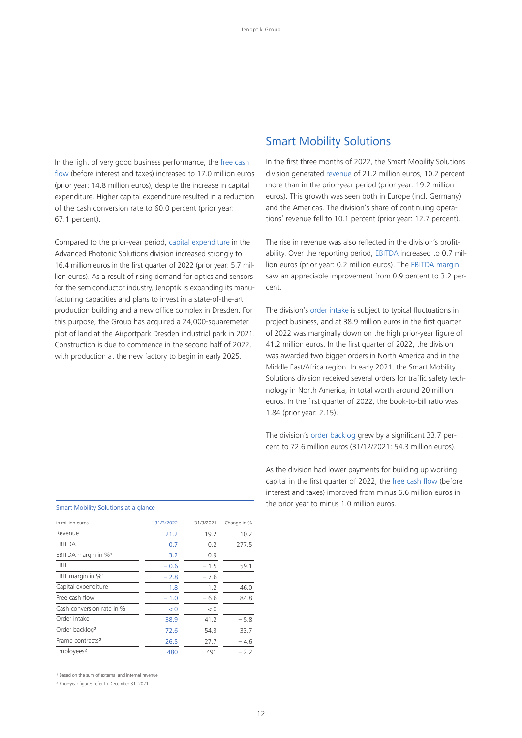In the light of very good business performance, the free cash flow (before interest and taxes) increased to 17.0 million euros (prior year: 14.8 million euros), despite the increase in capital expenditure. Higher capital expenditure resulted in a reduction of the cash conversion rate to 60.0 percent (prior year: 67.1 percent).

Compared to the prior-year period, capital expenditure in the Advanced Photonic Solutions division increased strongly to 16.4 million euros in the first quarter of 2022 (prior year: 5.7 million euros). As a result of rising demand for optics and sensors for the semiconductor industry, Jenoptik is expanding its manufacturing capacities and plans to invest in a state-of-the-art production building and a new office complex in Dresden. For this purpose, the Group has acquired a 24,000-squaremeter plot of land at the Airportpark Dresden industrial park in 2021. Construction is due to commence in the second half of 2022, with production at the new factory to begin in early 2025.

## Smart Mobility Solutions

In the first three months of 2022, the Smart Mobility Solutions division generated revenue of 21.2 million euros, 10.2 percent more than in the prior-year period (prior year: 19.2 million euros). This growth was seen both in Europe (incl. Germany) and the Americas. The division's share of continuing operations' revenue fell to 10.1 percent (prior year: 12.7 percent).

The rise in revenue was also reflected in the division's profitability. Over the reporting period, EBITDA increased to 0.7 million euros (prior year: 0.2 million euros). The EBITDA margin saw an appreciable improvement from 0.9 percent to 3.2 percent.

The division's order intake is subject to typical fluctuations in project business, and at 38.9 million euros in the first quarter of 2022 was marginally down on the high prior-year figure of 41.2 million euros. In the first quarter of 2022, the division was awarded two bigger orders in North America and in the Middle East/Africa region. In early 2021, the Smart Mobility Solutions division received several orders for traffic safety technology in North America, in total worth around 20 million euros. In the first quarter of 2022, the book-to-bill ratio was 1.84 (prior year: 2.15).

The division's order backlog grew by a significant 33.7 percent to 72.6 million euros (31/12/2021: 54.3 million euros).

As the division had lower payments for building up working capital in the first quarter of 2022, the free cash flow (before interest and taxes) improved from minus 6.6 million euros in The prior year to minus 1.0 million euros.

| in million euros    | 31/3/2022 | 31/3/2021 | Change in % |
|---------------------|-----------|-----------|-------------|
| Revenue             | 21.2      | 19.2      | 10.2        |
| EBITDA              | 0.7       | 0.2       | 277.5       |
| EBITDA margin in %1 | 32        | 0.9       |             |
| EBIT                | $-0.6$    | $-15$     |             |

| EBITDA                          | 0.7    | 0.2    | 277.5  |
|---------------------------------|--------|--------|--------|
| EBITDA margin in % <sup>1</sup> | 3.2    | 0.9    |        |
| EBIT                            | $-0.6$ | $-1.5$ | 59.1   |
| EBIT margin in % <sup>1</sup>   | $-2.8$ | $-7.6$ |        |
| Capital expenditure             | 1.8    | 1.2    | 46.0   |
| Free cash flow                  | $-1.0$ | $-6.6$ | 84.8   |
| Cash conversion rate in %       | < 0    | < 0    |        |
| Order intake                    | 38.9   | 41.2   | $-5.8$ |
| Order backlog <sup>2</sup>      | 72.6   | 54.3   | 33.7   |
| Frame contracts <sup>2</sup>    | 26.5   | 27.7   | $-4.6$ |
| Employees <sup>2</sup>          | 480    | 491    | $-2.2$ |

<sup>1</sup> Based on the sum of external and internal revenue

² Prior-year figures refer to December 31, 2021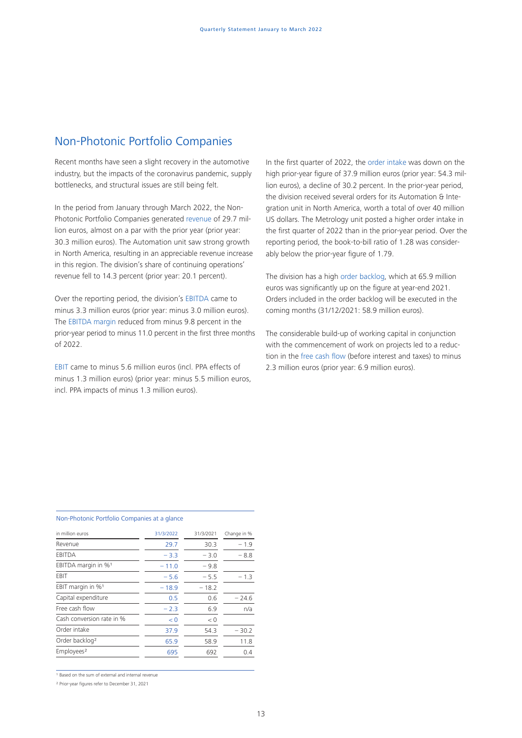## Non-Photonic Portfolio Companies

Recent months have seen a slight recovery in the automotive industry, but the impacts of the coronavirus pandemic, supply bottlenecks, and structural issues are still being felt.

In the period from January through March 2022, the Non-Photonic Portfolio Companies generated revenue of 29.7 million euros, almost on a par with the prior year (prior year: 30.3 million euros). The Automation unit saw strong growth in North America, resulting in an appreciable revenue increase in this region. The division's share of continuing operations' revenue fell to 14.3 percent (prior year: 20.1 percent).

Over the reporting period, the division's EBITDA came to minus 3.3 million euros (prior year: minus 3.0 million euros). The EBITDA margin reduced from minus 9.8 percent in the prior-year period to minus 11.0 percent in the first three months of 2022.

EBIT came to minus 5.6 million euros (incl. PPA effects of minus 1.3 million euros) (prior year: minus 5.5 million euros, incl. PPA impacts of minus 1.3 million euros).

In the first quarter of 2022, the order intake was down on the high prior-year figure of 37.9 million euros (prior year: 54.3 million euros), a decline of 30.2 percent. In the prior-year period, the division received several orders for its Automation & Integration unit in North America, worth a total of over 40 million US dollars. The Metrology unit posted a higher order intake in the first quarter of 2022 than in the prior-year period. Over the reporting period, the book-to-bill ratio of 1.28 was considerably below the prior-year figure of 1.79.

The division has a high order backlog, which at 65.9 million euros was significantly up on the figure at year-end 2021. Orders included in the order backlog will be executed in the coming months (31/12/2021: 58.9 million euros).

The considerable build-up of working capital in conjunction with the commencement of work on projects led to a reduction in the free cash flow (before interest and taxes) to minus 2.3 million euros (prior year: 6.9 million euros).

## in million euros 31/3/2022 31/3/2021 Change in % Revenue 29.7 30.3 – 1.9 EBITDA  $-3.3 -3.0 -8.8$ EBITDA margin in  $\frac{1}{90}$   $- 11.0 - 9.8$ EBIT  $-5.6$   $-5.5$   $-1.3$ EBIT margin in  $\frac{\%1}{2}$  – 18.9 – 18.2 Capital expenditure  $0.5$  0.6 – 24.6 Free cash flow  $\overline{\qquad -2.3}$   $\overline{\qquad -6.9}$   $\overline{\qquad -1.2}$ Cash conversion rate in %  $\sim$  0  $\sim$  0 Order intake 37.9 54.3 – 30.2 Order backlog<sup>2</sup> 65.9 58.9 11.8 Employees<sup>2</sup> 695 692 0.4

#### Non-Photonic Portfolio Companies at a glance

<sup>1</sup> Based on the sum of external and internal revenue

² Prior-year figures refer to December 31, 2021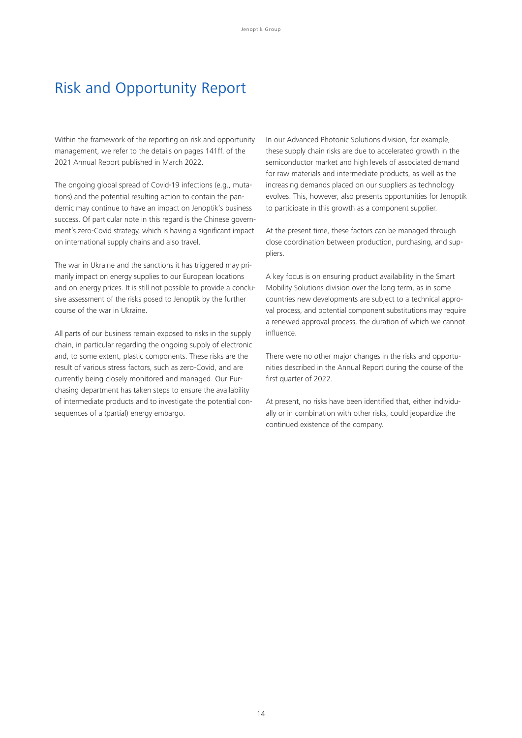## Risk and Opportunity Report

Within the framework of the reporting on risk and opportunity management, we refer to the details on pages 141ff. of the 2021 Annual Report published in March 2022.

The ongoing global spread of Covid-19 infections (e.g., mutations) and the potential resulting action to contain the pandemic may continue to have an impact on Jenoptik's business success. Of particular note in this regard is the Chinese government's zero-Covid strategy, which is having a significant impact on international supply chains and also travel.

The war in Ukraine and the sanctions it has triggered may primarily impact on energy supplies to our European locations and on energy prices. It is still not possible to provide a conclusive assessment of the risks posed to Jenoptik by the further course of the war in Ukraine.

All parts of our business remain exposed to risks in the supply chain, in particular regarding the ongoing supply of electronic and, to some extent, plastic components. These risks are the result of various stress factors, such as zero-Covid, and are currently being closely monitored and managed. Our Purchasing department has taken steps to ensure the availability of intermediate products and to investigate the potential consequences of a (partial) energy embargo.

In our Advanced Photonic Solutions division, for example, these supply chain risks are due to accelerated growth in the semiconductor market and high levels of associated demand for raw materials and intermediate products, as well as the increasing demands placed on our suppliers as technology evolves. This, however, also presents opportunities for Jenoptik to participate in this growth as a component supplier.

At the present time, these factors can be managed through close coordination between production, purchasing, and suppliers.

A key focus is on ensuring product availability in the Smart Mobility Solutions division over the long term, as in some countries new developments are subject to a technical approval process, and potential component substitutions may require a renewed approval process, the duration of which we cannot influence.

There were no other major changes in the risks and opportunities described in the Annual Report during the course of the first quarter of 2022.

At present, no risks have been identified that, either individually or in combination with other risks, could jeopardize the continued existence of the company.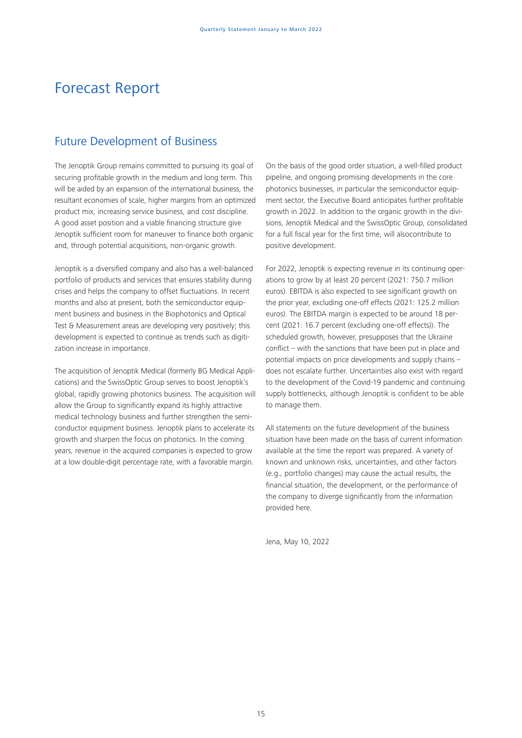# Forecast Report

## Future Development of Business

The Jenoptik Group remains committed to pursuing its goal of securing profitable growth in the medium and long term. This will be aided by an expansion of the international business, the resultant economies of scale, higher margins from an optimized product mix, increasing service business, and cost discipline. A good asset position and a viable financing structure give Jenoptik sufficient room for maneuver to finance both organic and, through potential acquisitions, non-organic growth.

Jenoptik is a diversified company and also has a well-balanced portfolio of products and services that ensures stability during crises and helps the company to offset fluctuations. In recent months and also at present, both the semiconductor equipment business and business in the Biophotonics and Optical Test & Measurement areas are developing very positively; this development is expected to continue as trends such as digitization increase in importance.

The acquisition of Jenoptik Medical (formerly BG Medical Applications) and the SwissOptic Group serves to boost Jenoptik's global, rapidly growing photonics business. The acquisition will allow the Group to significantly expand its highly attractive medical technology business and further strengthen the semiconductor equipment business. Jenoptik plans to accelerate its growth and sharpen the focus on photonics. In the coming years, revenue in the acquired companies is expected to grow at a low double-digit percentage rate, with a favorable margin.

On the basis of the good order situation, a well-filled product pipeline, and ongoing promising developments in the core photonics businesses, in particular the semiconductor equipment sector, the Executive Board anticipates further profitable growth in 2022. In addition to the organic growth in the divisions, Jenoptik Medical and the SwissOptic Group, consolidated for a full fiscal year for the first time, will alsocontribute to positive development.

For 2022, Jenoptik is expecting revenue in its continuing operations to grow by at least 20 percent (2021: 750.7 million euros). EBITDA is also expected to see significant growth on the prior year, excluding one-off effects (2021: 125.2 million euros). The EBITDA margin is expected to be around 18 percent (2021: 16.7 percent (excluding one-off effects)). The scheduled growth, however, presupposes that the Ukraine conflict – with the sanctions that have been put in place and potential impacts on price developments and supply chains – does not escalate further. Uncertainties also exist with regard to the development of the Covid-19 pandemic and continuing supply bottlenecks, although Jenoptik is confident to be able to manage them.

All statements on the future development of the business situation have been made on the basis of current information available at the time the report was prepared. A variety of known and unknown risks, uncertainties, and other factors (e.g., portfolio changes) may cause the actual results, the financial situation, the development, or the performance of the company to diverge significantly from the information provided here.

Jena, May 10, 2022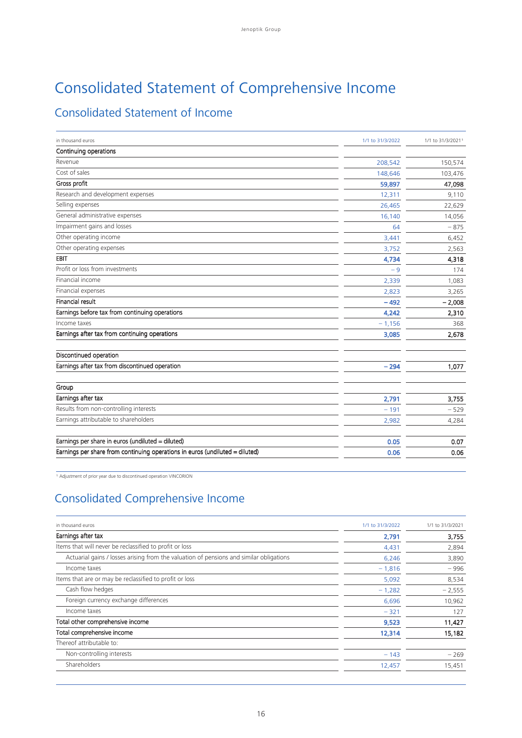# Consolidated Statement of Comprehensive Income

## Consolidated Statement of Income

| in thousand euros                                                            | 1/1 to 31/3/2022 | 1/1 to 31/3/20211 |
|------------------------------------------------------------------------------|------------------|-------------------|
| Continuing operations                                                        |                  |                   |
| Revenue                                                                      | 208,542          | 150,574           |
| Cost of sales                                                                | 148,646          | 103,476           |
| Gross profit                                                                 | 59,897           | 47,098            |
| Research and development expenses                                            | 12,311           | 9,110             |
| Selling expenses                                                             | 26,465           | 22,629            |
| General administrative expenses                                              | 16,140           | 14,056            |
| Impairment gains and losses                                                  | 64               | $-875$            |
| Other operating income                                                       | 3,441            | 6,452             |
| Other operating expenses                                                     | 3,752            | 2,563             |
| EBIT                                                                         | 4,734            | 4,318             |
| Profit or loss from investments                                              | $-9$             | 174               |
| Financial income                                                             | 2,339            | 1,083             |
| Financial expenses                                                           | 2,823            | 3,265             |
| <b>Financial result</b>                                                      | $-492$           | $-2,008$          |
| Earnings before tax from continuing operations                               | 4,242            | 2,310             |
| Income taxes                                                                 | $-1,156$         | 368               |
| Earnings after tax from continuing operations                                | 3,085            | 2,678             |
| Discontinued operation                                                       |                  |                   |
| Earnings after tax from discontinued operation                               | $-294$           | 1,077             |
| Group                                                                        |                  |                   |
| Earnings after tax                                                           | 2,791            | 3,755             |
| Results from non-controlling interests                                       | $-191$           | $-529$            |
| Earnings attributable to shareholders                                        | 2,982            | 4,284             |
| Earnings per share in euros (undiluted = diluted)                            | 0.05             | 0.07              |
| Earnings per share from continuing operations in euros (undiluted = diluted) | 0.06             | 0.06              |

1 Adjustment of prior year due to discontinued operation VINCORION

## Consolidated Comprehensive Income

| in thousand euros<br>1/1 to 31/3/2022                                                            | 1/1 to 31/3/2021 |
|--------------------------------------------------------------------------------------------------|------------------|
| Earnings after tax<br>2,791                                                                      | 3,755            |
| Items that will never be reclassified to profit or loss<br>4,431                                 | 2,894            |
| Actuarial gains / losses arising from the valuation of pensions and similar obligations<br>6,246 | 3,890            |
| Income taxes<br>$-1,816$                                                                         | $-996$           |
| Items that are or may be reclassified to profit or loss<br>5,092                                 | 8,534            |
| Cash flow hedges<br>$-1,282$                                                                     | $-2,555$         |
| Foreign currency exchange differences<br>6,696                                                   | 10,962           |
| Income taxes<br>$-321$                                                                           | 127              |
| Total other comprehensive income<br>9,523                                                        | 11,427           |
| Total comprehensive income<br>12,314                                                             | 15,182           |
| Thereof attributable to:                                                                         |                  |
| Non-controlling interests<br>$-143$                                                              | $-269$           |
| Shareholders<br>12,457                                                                           | 15,451           |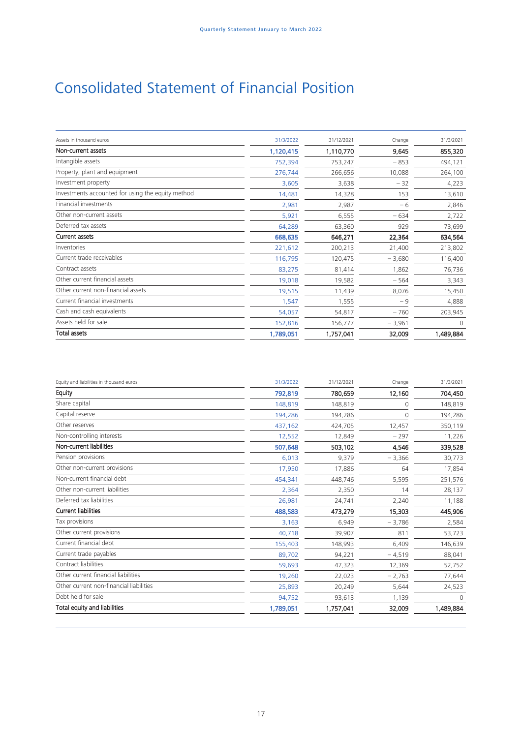# Consolidated Statement of Financial Position

| Assets in thousand euros                          | 31/3/2022 | 31/12/2021 | Change   | 31/3/2021 |
|---------------------------------------------------|-----------|------------|----------|-----------|
| Non-current assets                                | 1,120,415 | 1,110,770  | 9,645    | 855,320   |
| Intangible assets                                 | 752,394   | 753,247    | $-853$   | 494,121   |
| Property, plant and equipment                     | 276,744   | 266,656    | 10,088   | 264,100   |
| Investment property                               | 3,605     | 3,638      | $-32$    | 4,223     |
| Investments accounted for using the equity method | 14,481    | 14,328     | 153      | 13,610    |
| Financial investments                             | 2,981     | 2,987      | $-6$     | 2,846     |
| Other non-current assets                          | 5,921     | 6,555      | $-634$   | 2,722     |
| Deferred tax assets                               | 64,289    | 63,360     | 929      | 73,699    |
| <b>Current assets</b>                             | 668,635   | 646,271    | 22,364   | 634,564   |
| Inventories                                       | 221,612   | 200,213    | 21,400   | 213,802   |
| Current trade receivables                         | 116,795   | 120,475    | $-3,680$ | 116,400   |
| Contract assets                                   | 83,275    | 81,414     | 1,862    | 76,736    |
| Other current financial assets                    | 19,018    | 19,582     | $-564$   | 3,343     |
| Other current non-financial assets                | 19,515    | 11,439     | 8,076    | 15,450    |
| Current financial investments                     | 1,547     | 1,555      | $-9$     | 4,888     |
| Cash and cash equivalents                         | 54,057    | 54,817     | $-760$   | 203,945   |
| Assets held for sale                              | 152,816   | 156,777    | $-3,961$ | $\Omega$  |
| <b>Total assets</b>                               | 1,789,051 | 1,757,041  | 32,009   | 1,489,884 |

| Equity and liabilities in thousand euros | 31/3/2022 | 31/12/2021 | Change   | 31/3/2021 |
|------------------------------------------|-----------|------------|----------|-----------|
| Equity                                   | 792,819   | 780,659    | 12,160   | 704,450   |
| Share capital                            | 148,819   | 148,819    | 0        | 148,819   |
| Capital reserve                          | 194,286   | 194,286    | 0        | 194,286   |
| Other reserves                           | 437,162   | 424,705    | 12,457   | 350,119   |
| Non-controlling interests                | 12,552    | 12,849     | $-297$   | 11,226    |
| Non-current liabilities                  | 507,648   | 503,102    | 4,546    | 339,528   |
| Pension provisions                       | 6,013     | 9,379      | $-3,366$ | 30,773    |
| Other non-current provisions             | 17,950    | 17,886     | 64       | 17,854    |
| Non-current financial debt               | 454,341   | 448,746    | 5,595    | 251,576   |
| Other non-current liabilities            | 2,364     | 2,350      | 14       | 28,137    |
| Deferred tax liabilities                 | 26,981    | 24,741     | 2,240    | 11,188    |
| <b>Current liabilities</b>               | 488,583   | 473,279    | 15,303   | 445,906   |
| Tax provisions                           | 3,163     | 6,949      | $-3,786$ | 2,584     |
| Other current provisions                 | 40,718    | 39,907     | 811      | 53,723    |
| Current financial debt                   | 155,403   | 148,993    | 6,409    | 146,639   |
| Current trade payables                   | 89,702    | 94,221     | $-4,519$ | 88,041    |
| Contract liabilities                     | 59,693    | 47,323     | 12,369   | 52,752    |
| Other current financial liabilities      | 19,260    | 22,023     | $-2,763$ | 77,644    |
| Other current non-financial liabilities  | 25,893    | 20,249     | 5,644    | 24,523    |
| Debt held for sale                       | 94,752    | 93,613     | 1,139    | $\Omega$  |
| Total equity and liabilities             | 1,789,051 | 1,757,041  | 32,009   | 1,489,884 |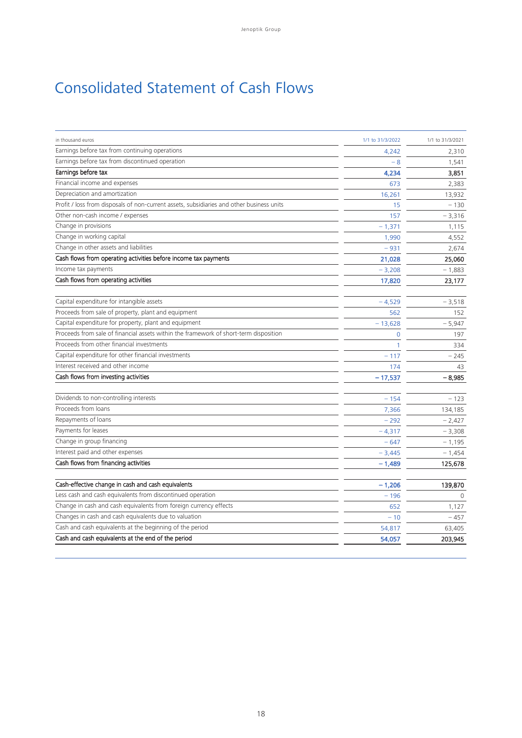# Consolidated Statement of Cash Flows

| in thousand euros                                                                         | 1/1 to 31/3/2022 | 1/1 to 31/3/2021 |
|-------------------------------------------------------------------------------------------|------------------|------------------|
| Earnings before tax from continuing operations                                            | 4,242            | 2,310            |
| Earnings before tax from discontinued operation                                           | $-8$             | 1,541            |
| Earnings before tax                                                                       | 4,234            | 3,851            |
| Financial income and expenses                                                             | 673              | 2,383            |
| Depreciation and amortization                                                             | 16,261           | 13,932           |
| Profit / loss from disposals of non-current assets, subsidiaries and other business units | 15               | $-130$           |
| Other non-cash income / expenses                                                          | 157              | $-3,316$         |
| Change in provisions                                                                      | $-1,371$         | 1,115            |
| Change in working capital                                                                 | 1,990            | 4,552            |
| Change in other assets and liabilities                                                    | $-931$           | 2,674            |
| Cash flows from operating activities before income tax payments                           | 21,028           | 25,060           |
| Income tax payments                                                                       | $-3,208$         | $-1,883$         |
| Cash flows from operating activities                                                      | 17,820           | 23,177           |
| Capital expenditure for intangible assets                                                 | $-4,529$         | $-3,518$         |
| Proceeds from sale of property, plant and equipment                                       | 562              | 152              |
| Capital expenditure for property, plant and equipment                                     | $-13,628$        | $-5,947$         |
| Proceeds from sale of financial assets within the framework of short-term disposition     | $\Omega$         | 197              |
| Proceeds from other financial investments                                                 | $\mathbf{1}$     | 334              |
| Capital expenditure for other financial investments                                       | $-117$           | $-245$           |
| Interest received and other income                                                        | 174              | 43               |
| Cash flows from investing activities                                                      | $-17,537$        | $-8.985$         |
|                                                                                           |                  |                  |
| Dividends to non-controlling interests                                                    | $-154$           | $-123$           |
| Proceeds from loans                                                                       | 7,366            | 134,185          |
| Repayments of loans                                                                       | $-292$           | $-2,427$         |
| Payments for leases                                                                       | $-4,317$         | $-3,308$         |
| Change in group financing                                                                 | $-647$           | $-1,195$         |
| Interest paid and other expenses                                                          | $-3,445$         | $-1,454$         |
| Cash flows from financing activities                                                      | $-1,489$         | 125,678          |
| Cash-effective change in cash and cash equivalents                                        | $-1,206$         | 139,870          |
| Less cash and cash equivalents from discontinued operation                                | $-196$           | $\Omega$         |
| Change in cash and cash equivalents from foreign currency effects                         | 652              | 1,127            |
| Changes in cash and cash equivalents due to valuation                                     | $-10$            | $-457$           |
| Cash and cash equivalents at the beginning of the period                                  | 54.817           | 63,405           |
| Cash and cash equivalents at the end of the period                                        | 54,057           | 203,945          |
|                                                                                           |                  |                  |